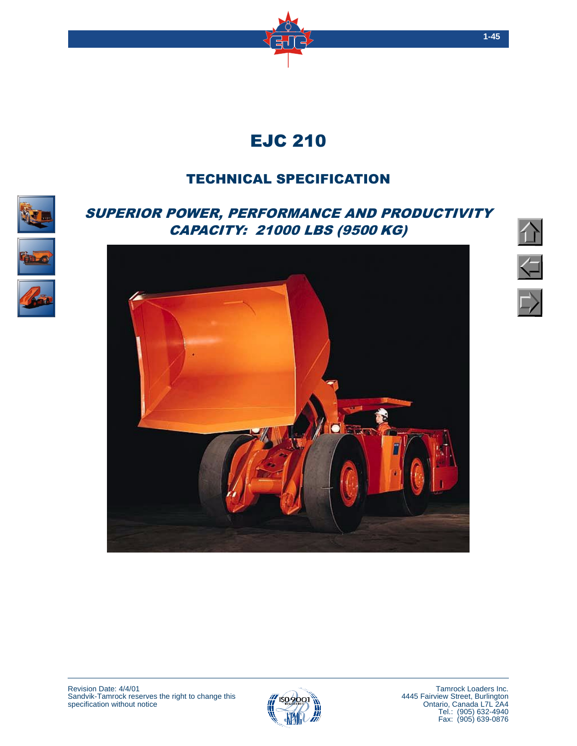

# TECHNICAL SPECIFICATION

## <span id="page-0-0"></span>SUPERIOR POWER, PERFORMANCE AND PRODUCTIVITY CAPACITY: 21000 LBS (9500 KG)











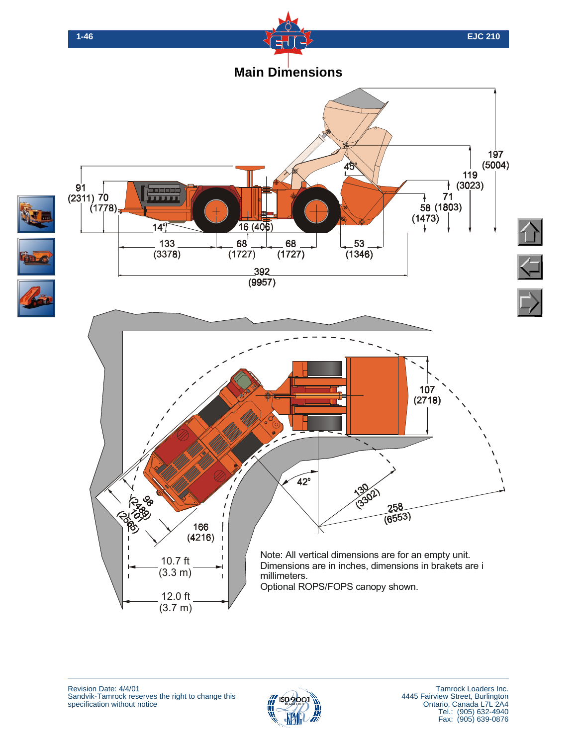



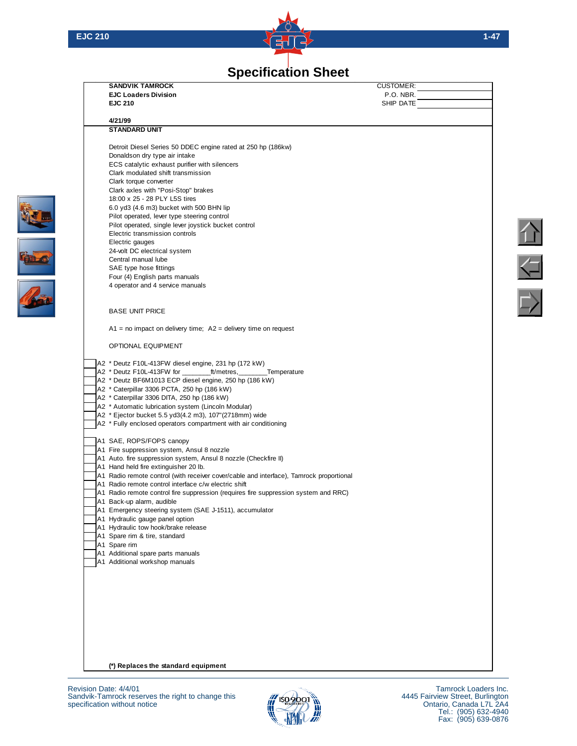

## **[Specification Sheet](#page-0-0)**

**SANDVIK TAMROCK** CUSTOMER:<br> **CUSTOMER:**<br>
P.O. NBR. **EJC Loaders Division EJC 210** SHIP DATE **4/21/99 STANDARD UNIT** Detroit Diesel Series 50 DDEC engine rated at 250 hp (186kw) Donaldson dry type air intake ECS catalytic exhaust purifier with silencers Clark modulated shift transmission Clark torque converter Clark axles with "Posi-Stop" brakes 18:00 x 25 - 28 PLY L5S tires 6.0 yd3 (4.6 m3) bucket with 500 BHN lip Pilot operated, lever type steering control Pilot operated, single lever joystick bucket control Electric transmission controls Electric gauges 24-volt DC electrical system Central manual lube SAE type hose fittings Four (4) English parts manuals 4 operator and 4 service manuals BASE UNIT PRICE  $A1$  = no impact on delivery time;  $A2$  = delivery time on request OPTIONAL EQUIPMENT A2 \* Deutz F10L-413FW diesel engine, 231 hp (172 kW) A2 \* Deutz F10L-413FW for \_\_\_\_\_\_\_\_\_ft/metres, \_\_\_\_\_\_\_Temperature A2 \* Deutz BF6M1013 ECP diesel engine, 250 hp (186 kW) A2 \* Caterpillar 3306 PCTA, 250 hp (186 kW) A2 \* Caterpillar 3306 DITA, 250 hp (186 kW) A2 \* Automatic lubrication system (Lincoln Modular) A2 \* Ejector bucket 5.5 yd3(4.2 m3), 107"(2718mm) wide A2<sup>\*</sup> Fully enclosed operators compartment with air conditioning A1 SAE, ROPS/FOPS canopy A1 Fire suppression system, Ansul 8 nozzle A1 Auto. fire suppression system, Ansul 8 nozzle (Checkfire II) A1 Hand held fire extinguisher 20 lb. A1 Radio remote control (with receiver cover/cable and interface), Tamrock proportional A1 Radio remote control interface c/w electric shift A1 Radio remote control fire suppression (requires fire suppression system and RRC) A1 Back-up alarm, audible A1 Emergency steering system (SAE J-1511), accumulator A1 Hydraulic gauge panel option A1 Hydraulic tow hook/brake release A1 Spare rim & tire, standard A<sub>1</sub> Spare rim A1 Additional spare parts manuals A1 Additional workshop manuals

**(\*) Replaces the standard equipment**

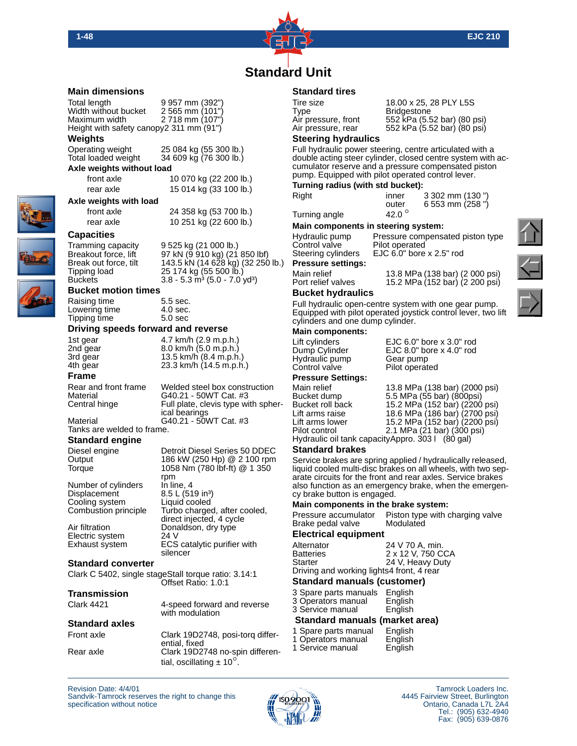

(80 psi) (80 psi)

## **[Standard Unit](#page-0-0)**

#### **Main dimensions**

Total length 9 957 mm (392") Width without bucket 2 565 mm (101")<br>Maximum width 2 718 mm (107")  $2718$  mm (107") Height with safety canopy2 311 mm (91")

#### **Weights**

Operating weight 25 084 kg (55 300 lb.) Total loaded weight 34 609 kg (76 300 lb.)

## **Axle weights without load**

 front axle 10 070 kg (22 200 lb.) rear axle 15 014 kg (33 100 lb.)

### **Axle weights with load**

 front axle 24 358 kg (53 700 lb.) rear axle 10 251 kg (22 600 lb.)

### **Capacities**

Tramming capacity 9 525 kg (21 000 lb.) Breakout force, lift 97 kN (9 910 kg) (21 850 lbf) Breakout force, lift 97 kN (9 910 kg) (21 850 lbf)<br>Break out force, tilt 143.5 kN (14 628 kg) (32 250 lb.)<br>Tipping load 25 174 kg (55 500 lb.)

Tipping load 25 174 kg (55 500 lb.)<br>Buckets 3.8 - 5.3 m<sup>3</sup> (5.0 - 7.0)  $3.8 - 5.3$  m<sup>3</sup> (5.0 - 7.0 yd<sup>3</sup>) **Bucket motion times**

## Raising time 5.5 sec.<br>
Lowering time 4.0 sec. Lowering time  $\begin{array}{ccc} 4.0 \text{ sec} \\ 4.0 \text{ sec} \end{array}$

**Driving speeds forward and reverse** 1st gear 4.7 km/h (2.9 m.p.h.)<br>2nd gear 8.0 km/h (5.0 m.p.h.)

2nd gear 8.0 km/h (5.0 m.p.h.)<br>3rd gear 3.5 km/h (8.4 m.p.h 4th gear 23.3 km/h (14.5 m.p.h.)

Tipping time

**Frame** Rear and front frame Welded steel box construction<br>Material G40.21 - 50WT Cat. #3 Material G40.21 - 50WT Cat. #3<br>Central hinge Full plate, clevis type wi

Full plate, clevis type with spherical bearings Material G40.21 - 50WT Cat. #3

13.5 km/h  $(8.4 \text{ m.p.h.})$ 

Tanks are welded to frame.

## **Standard engine**

Number of cylinders Displacement 8.5 L (519 in<sup>3</sup>)<br>Cooling system Liquid cooled Cooling system<br>Combustion principle

Diesel engine Detroit Diesel Series 50 DDEC<br>Output 186 kW (250 Hp) @ 2 100 rpm 186 kW (250 Hp) @ 2 100 rpm Torque 1058 Nm (780 lbf-ft) @ 1 350 rpm<br>In line, 4 Turbo charged, after cooled, direct injected, 4 cycle Air filtration **Donaldson**, dry type Electric system 24 V<br>Exhaust system ECS ECS catalytic purifier with silencer

#### **Standard converter**

Clark C 5402, single stageStall torque ratio: 3.14:1 Offset Ratio: 1.0:1

#### **Transmission**

Clark 4421 4-speed forward and reverse with modulation

#### **Standard axles**

Front axle Clark 19D2748, posi-torq differential, fixed Rear axle Clark 19D2748 no-spin differential, oscillating  $\pm$  10<sup>o</sup>.

### **Standard tires**

| Tire size           | 18.00 x 25, 28 PLY L5S   |
|---------------------|--------------------------|
| Type                | <b>Bridgestone</b>       |
| Air pressure, front | 552 kPa (5.52 bar) (80 p |
| Air pressure, rear  | 552 kPa (5.52 bar) (80 p |
|                     |                          |

#### **Steering hydraulics**

Full hydraulic power steering, centre articulated with a double acting steer cylinder, closed centre system with accumulator reserve and a pressure compensated piston pump. Equipped with pilot operated control lever.

#### **Turning radius (with std bucket):**

| Right         | inner           | 3 302 mm (130") |
|---------------|-----------------|-----------------|
|               | outer           | 6 553 mm (258") |
| Turning angle | 42.0 $^{\circ}$ |                 |

#### **Main components in steering system:**

Hydraulic pump Pressure compensated piston type Control valve Pilot operated<br>Steering cylinders EJC 6.0" bore EJC  $6.0$ " bore x  $2.5$ " rod

**Pressure settings:**

Main relief 13.8 MPa (138 bar) (2 000 psi) Port relief valves 15.2 MPa (152 bar) (2 200 psi)

**Bucket hydraulics**

Full hydraulic open-centre system with one gear pump. Equipped with pilot operated joystick control lever, two lift cylinders and one dump cylinder.

#### **Main components:**

Hydraulic pump Gear pump<br>
Control valve Filot operated Control valve

#### **Pressure Settings:**

Lift cylinders EJC 6.0" bore x 3.0" rod<br>Dump Cylinder EJC 8.0" bore x 4.0" rod EJC 8.0" bore x 4.0" rod<br>Gear pump

Main relief 13.8 MPa (138 bar) (2000 psi)<br>Bucket dump 5.5 MPa (55 bar) (800 psi) Bucket dump 5.5 MPa (55 bar) (800psi)<br>Bucket roll back 5.2 MPa (152 bar) (2200 Bucket roll back 15.2 MPa (152 bar) (2200 psi) Lift arms raise 18.6 MPa (186 bar) (2700 psi) Lift arms lower 15.2 MPa (152 bar) (2200 psi) Pilot control 2.1 MPa  $(21 \text{ bar})$   $(300 \text{ psi})$ 

Hydraulic oil tank capacityAppro. 303 l (80 gal)

#### **Standard brakes**

Service brakes are spring applied / hydraulically released, liquid cooled multi-disc brakes on all wheels, with two separate circuits for the front and rear axles. Service brakes also function as an emergency brake, when the emergency brake button is engaged.

**Main components in the brake system:**

Pressure accumulator Piston type with charging valve<br>Brake pedal valve Modulated Brake pedal valve

#### **Electrical equipment**

| Alternator                                | 24 V 70 A, min.   |
|-------------------------------------------|-------------------|
| <b>Batteries</b>                          | 2 x 12 V, 750 CCA |
| <b>Starter</b>                            | 24 V, Heavy Duty  |
| Driving and working lights4 front, 4 rear |                   |

#### **Standard manuals (customer)**

| 3 Operators manual<br>3 Service manual | English<br>English |  |
|----------------------------------------|--------------------|--|
| <b>Standard manuals (market area)</b>  |                    |  |

#### 1 Spare parts manual English

| i Spare parts manuar                                       | спуныт            |
|------------------------------------------------------------|-------------------|
| 1 Operators manual                                         | English           |
| $\sim$ 0.000 $\sim$ 0.000 $\sim$ 0.000 $\sim$ 0.000 $\sim$ | المستقط والمستحدث |

1 Service manual English







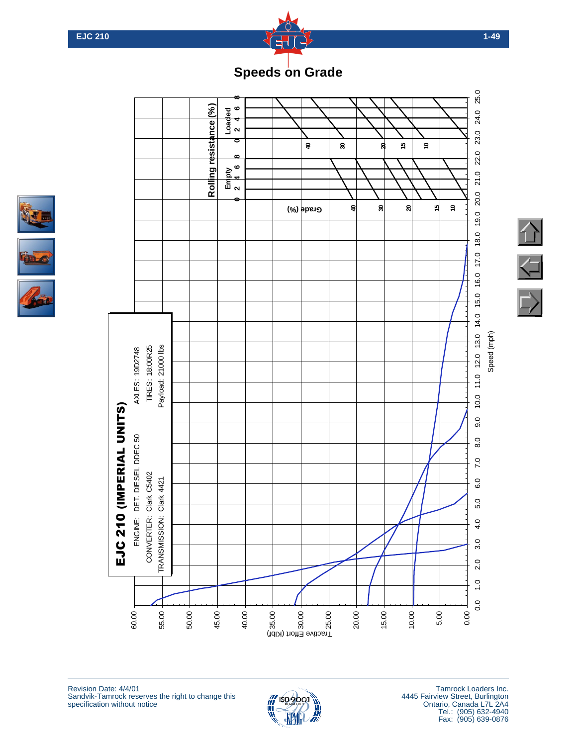

# **[Speeds on Grade](#page-0-0)**





Revision Date: 4/4/01 Sandvik-Tamrock reserves the right to change this specification without notice



Tamrock Loaders Inc. 4445 Fairview Street, Burlington Ontario, Canada L7L 2A4 Tel.: (905) 632-4940 Fax: (905) 639-0876 <sup>t</sup>oC<sup>o</sup>ndition<sup>s</sup>

 $\sqrt{1}$